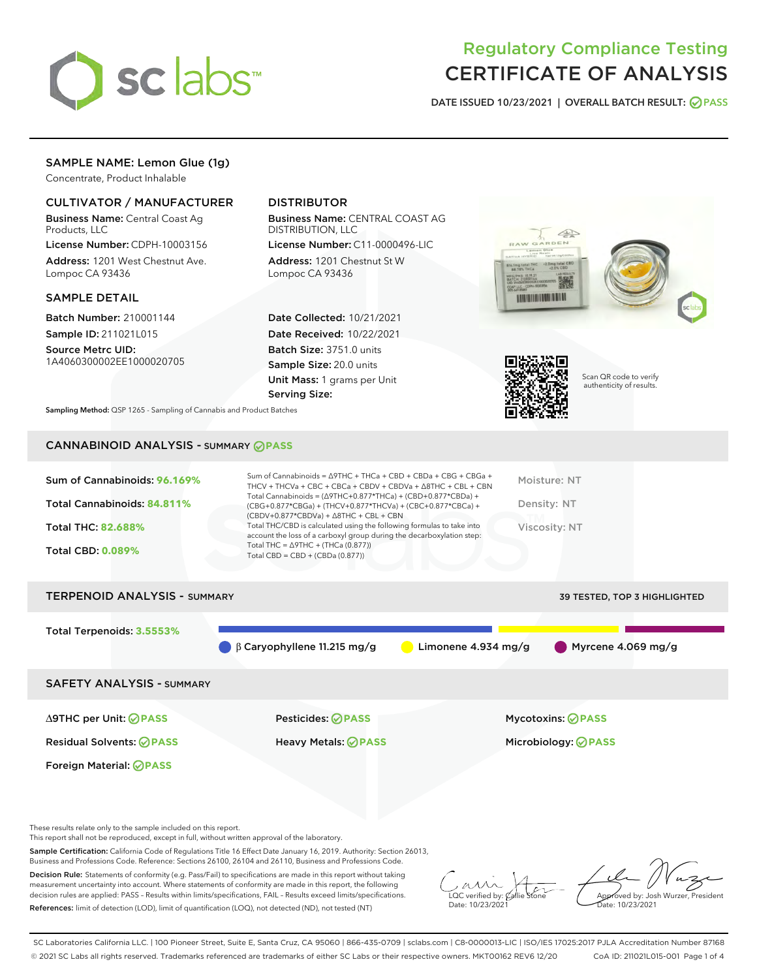

# Regulatory Compliance Testing CERTIFICATE OF ANALYSIS

DATE ISSUED 10/23/2021 | OVERALL BATCH RESULT: @ PASS

# SAMPLE NAME: Lemon Glue (1g)

Concentrate, Product Inhalable

## CULTIVATOR / MANUFACTURER

Business Name: Central Coast Ag Products, LLC

License Number: CDPH-10003156 Address: 1201 West Chestnut Ave. Lompoc CA 93436

#### SAMPLE DETAIL

Batch Number: 210001144 Sample ID: 211021L015

Source Metrc UID: 1A4060300002EE1000020705

# DISTRIBUTOR

Business Name: CENTRAL COAST AG DISTRIBUTION, LLC

License Number: C11-0000496-LIC Address: 1201 Chestnut St W Lompoc CA 93436

Date Collected: 10/21/2021 Date Received: 10/22/2021 Batch Size: 3751.0 units Sample Size: 20.0 units Unit Mass: 1 grams per Unit Serving Size:





Scan QR code to verify authenticity of results.

Sampling Method: QSP 1265 - Sampling of Cannabis and Product Batches

# CANNABINOID ANALYSIS - SUMMARY **PASS**

| Total Cannabinoids = $(\Delta$ 9THC+0.877*THCa) + (CBD+0.877*CBDa) +<br>Total Cannabinoids: 84.811%<br>Density: NT<br>(CBG+0.877*CBGa) + (THCV+0.877*THCVa) + (CBC+0.877*CBCa) +<br>$(CBDV+0.877*CBDVa) + \Delta 8THC + CBL + CBN$<br>Total THC/CBD is calculated using the following formulas to take into<br><b>Total THC: 82.688%</b><br>Viscosity: NT<br>account the loss of a carboxyl group during the decarboxylation step:<br>Total THC = $\triangle$ 9THC + (THCa (0.877))<br><b>Total CBD: 0.089%</b><br>Total CBD = $CBD + (CBDa (0.877))$ | Sum of Cannabinoids: 96.169% | Sum of Cannabinoids = $\triangle$ 9THC + THCa + CBD + CBDa + CBG + CBGa +<br>THCV + THCVa + CBC + CBCa + CBDV + CBDVa + $\Delta$ 8THC + CBL + CBN | Moisture: NT |
|-------------------------------------------------------------------------------------------------------------------------------------------------------------------------------------------------------------------------------------------------------------------------------------------------------------------------------------------------------------------------------------------------------------------------------------------------------------------------------------------------------------------------------------------------------|------------------------------|---------------------------------------------------------------------------------------------------------------------------------------------------|--------------|
|                                                                                                                                                                                                                                                                                                                                                                                                                                                                                                                                                       |                              |                                                                                                                                                   |              |
|                                                                                                                                                                                                                                                                                                                                                                                                                                                                                                                                                       |                              |                                                                                                                                                   |              |
|                                                                                                                                                                                                                                                                                                                                                                                                                                                                                                                                                       |                              |                                                                                                                                                   |              |

# TERPENOID ANALYSIS - SUMMARY 39 TESTED, TOP 3 HIGHLIGHTED Total Terpenoids: **3.5553%** β Caryophyllene 11.215 mg/g Limonene 4.934 mg/g Myrcene 4.069 mg/g SAFETY ANALYSIS - SUMMARY

Foreign Material: **PASS**

∆9THC per Unit: **PASS** Pesticides: **PASS** Mycotoxins: **PASS**

Residual Solvents: **PASS** Heavy Metals: **PASS** Microbiology: **PASS**

These results relate only to the sample included on this report.

This report shall not be reproduced, except in full, without written approval of the laboratory.

Sample Certification: California Code of Regulations Title 16 Effect Date January 16, 2019. Authority: Section 26013, Business and Professions Code. Reference: Sections 26100, 26104 and 26110, Business and Professions Code.

Decision Rule: Statements of conformity (e.g. Pass/Fail) to specifications are made in this report without taking measurement uncertainty into account. Where statements of conformity are made in this report, the following decision rules are applied: PASS – Results within limits/specifications, FAIL – Results exceed limits/specifications. References: limit of detection (LOD), limit of quantification (LOQ), not detected (ND), not tested (NT)

 $\overline{\text{C}}$  verified by:  $\ell$ Date: 10/23/2021

Aved by: Josh Wurzer, President Date: 10/23/2021

SC Laboratories California LLC. | 100 Pioneer Street, Suite E, Santa Cruz, CA 95060 | 866-435-0709 | sclabs.com | C8-0000013-LIC | ISO/IES 17025:2017 PJLA Accreditation Number 87168 © 2021 SC Labs all rights reserved. Trademarks referenced are trademarks of either SC Labs or their respective owners. MKT00162 REV6 12/20 CoA ID: 211021L015-001 Page 1 of 4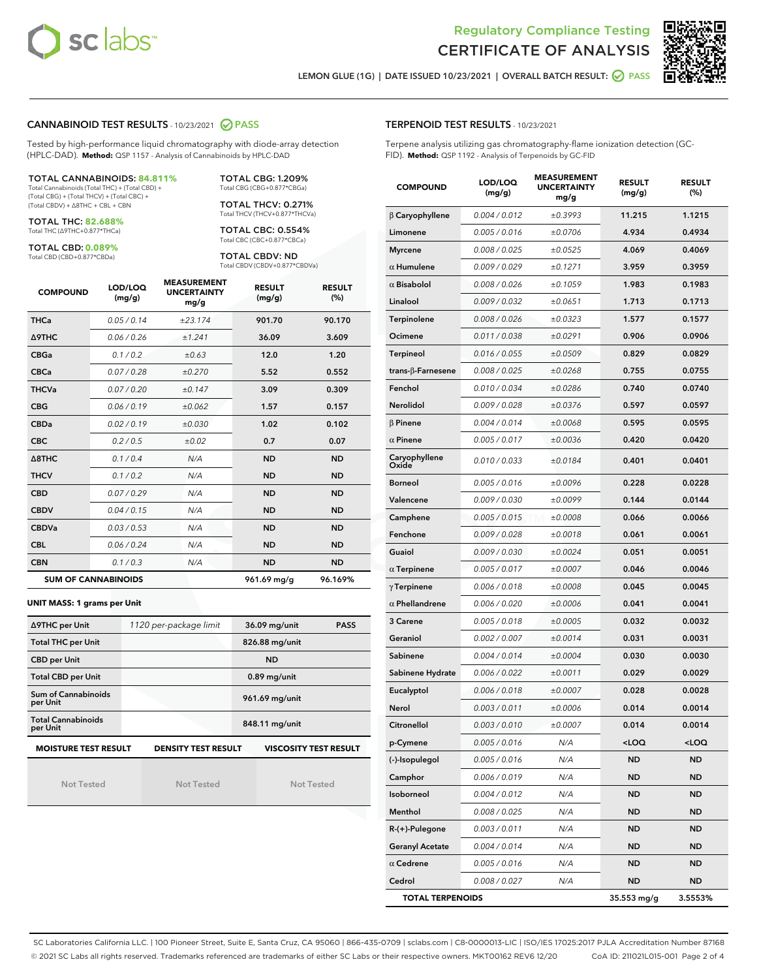



LEMON GLUE (1G) | DATE ISSUED 10/23/2021 | OVERALL BATCH RESULT: O PASS

#### CANNABINOID TEST RESULTS - 10/23/2021 2 PASS

Tested by high-performance liquid chromatography with diode-array detection (HPLC-DAD). **Method:** QSP 1157 - Analysis of Cannabinoids by HPLC-DAD

#### TOTAL CANNABINOIDS: **84.811%**

Total Cannabinoids (Total THC) + (Total CBD) + (Total CBG) + (Total THCV) + (Total CBC) + (Total CBDV) + ∆8THC + CBL + CBN

TOTAL THC: **82.688%** Total THC (∆9THC+0.877\*THCa)

TOTAL CBD: **0.089%**

Total CBD (CBD+0.877\*CBDa)

TOTAL CBG: 1.209% Total CBG (CBG+0.877\*CBGa)

TOTAL THCV: 0.271% Total THCV (THCV+0.877\*THCVa)

TOTAL CBC: 0.554% Total CBC (CBC+0.877\*CBCa)

TOTAL CBDV: ND Total CBDV (CBDV+0.877\*CBDVa)

| <b>COMPOUND</b>            | LOD/LOQ<br>(mg/g) | <b>MEASUREMENT</b><br><b>UNCERTAINTY</b><br>mg/g | <b>RESULT</b><br>(mg/g) | <b>RESULT</b><br>(%) |
|----------------------------|-------------------|--------------------------------------------------|-------------------------|----------------------|
| <b>THCa</b>                | 0.05/0.14         | ±23.174                                          | 901.70                  | 90.170               |
| <b>A9THC</b>               | 0.06/0.26         | ±1.241                                           | 36.09                   | 3.609                |
| <b>CBGa</b>                | 0.1/0.2           | ±0.63                                            | 12.0                    | 1.20                 |
| <b>CBCa</b>                | 0.07/0.28         | ±0.270                                           | 5.52                    | 0.552                |
| <b>THCVa</b>               | 0.07 / 0.20       | ±0.147                                           | 3.09                    | 0.309                |
| <b>CBG</b>                 | 0.06/0.19         | ±0.062                                           | 1.57                    | 0.157                |
| <b>CBDa</b>                | 0.02 / 0.19       | ±0.030                                           | 1.02                    | 0.102                |
| <b>CBC</b>                 | 0.2 / 0.5         | ±0.02                                            | 0.7                     | 0.07                 |
| $\triangle$ 8THC           | 0.1/0.4           | N/A                                              | <b>ND</b>               | <b>ND</b>            |
| <b>THCV</b>                | 0.1/0.2           | N/A                                              | <b>ND</b>               | <b>ND</b>            |
| <b>CBD</b>                 | 0.07/0.29         | N/A                                              | <b>ND</b>               | <b>ND</b>            |
| <b>CBDV</b>                | 0.04 / 0.15       | N/A                                              | <b>ND</b>               | <b>ND</b>            |
| <b>CBDVa</b>               | 0.03/0.53         | N/A                                              | <b>ND</b>               | <b>ND</b>            |
| <b>CBL</b>                 | 0.06 / 0.24       | N/A                                              | <b>ND</b>               | <b>ND</b>            |
| <b>CBN</b>                 | 0.1 / 0.3         | N/A                                              | <b>ND</b>               | <b>ND</b>            |
| <b>SUM OF CANNABINOIDS</b> |                   |                                                  | 961.69 mg/g             | 96.169%              |

#### **UNIT MASS: 1 grams per Unit**

| ∆9THC per Unit                                                                            | 1120 per-package limit | 36.09 mg/unit<br><b>PASS</b> |  |  |  |
|-------------------------------------------------------------------------------------------|------------------------|------------------------------|--|--|--|
| <b>Total THC per Unit</b>                                                                 |                        | 826.88 mg/unit               |  |  |  |
| <b>CBD per Unit</b>                                                                       |                        | <b>ND</b>                    |  |  |  |
| <b>Total CBD per Unit</b>                                                                 |                        | $0.89$ mg/unit               |  |  |  |
| Sum of Cannabinoids<br>per Unit                                                           |                        | 961.69 mg/unit               |  |  |  |
| <b>Total Cannabinoids</b><br>per Unit                                                     |                        | 848.11 mg/unit               |  |  |  |
| <b>MOISTURE TEST RESULT</b><br><b>DENSITY TEST RESULT</b><br><b>VISCOSITY TEST RESULT</b> |                        |                              |  |  |  |

Not Tested

Not Tested

Not Tested

#### TERPENOID TEST RESULTS - 10/23/2021

Terpene analysis utilizing gas chromatography-flame ionization detection (GC-FID). **Method:** QSP 1192 - Analysis of Terpenoids by GC-FID

| <b>COMPOUND</b>          | LOD/LOQ<br>(mg/g) | <b>MEASUREMENT</b><br><b>UNCERTAINTY</b><br>mg/g | <b>RESULT</b><br>(mg/g) | <b>RESULT</b><br>(%) |
|--------------------------|-------------------|--------------------------------------------------|-------------------------|----------------------|
| $\beta$ Caryophyllene    | 0.004 / 0.012     | ±0.3993                                          | 11.215                  | 1.1215               |
| Limonene                 | 0.005 / 0.016     | ±0.0706                                          | 4.934                   | 0.4934               |
| <b>Myrcene</b>           | 0.008 / 0.025     | ±0.0525                                          | 4.069                   | 0.4069               |
| $\alpha$ Humulene        | 0.009 / 0.029     | ±0.1271                                          | 3.959                   | 0.3959               |
| $\alpha$ Bisabolol       | 0.008 / 0.026     | ±0.1059                                          | 1.983                   | 0.1983               |
| Linalool                 | 0.009/0.032       | ±0.0651                                          | 1.713                   | 0.1713               |
| Terpinolene              | 0.008 / 0.026     | ±0.0323                                          | 1.577                   | 0.1577               |
| Ocimene                  | 0.011 / 0.038     | ±0.0291                                          | 0.906                   | 0.0906               |
| <b>Terpineol</b>         | 0.016 / 0.055     | ±0.0509                                          | 0.829                   | 0.0829               |
| $trans-\beta$ -Farnesene | 0.008 / 0.025     | ±0.0268                                          | 0.755                   | 0.0755               |
| Fenchol                  | 0.010 / 0.034     | ±0.0286                                          | 0.740                   | 0.0740               |
| Nerolidol                | 0.009 / 0.028     | ±0.0376                                          | 0.597                   | 0.0597               |
| $\beta$ Pinene           | 0.004 / 0.014     | ±0.0068                                          | 0.595                   | 0.0595               |
| $\alpha$ Pinene          | 0.005 / 0.017     | ±0.0036                                          | 0.420                   | 0.0420               |
| Caryophyllene<br>Oxide   | 0.010 / 0.033     | ±0.0184                                          | 0.401                   | 0.0401               |
| <b>Borneol</b>           | 0.005 / 0.016     | ±0.0096                                          | 0.228                   | 0.0228               |
| Valencene                | 0.009 / 0.030     | ±0.0099                                          | 0.144                   | 0.0144               |
| Camphene                 | 0.005 / 0.015     | ±0.0008                                          | 0.066                   | 0.0066               |
| Fenchone                 | 0.009 / 0.028     | ±0.0018                                          | 0.061                   | 0.0061               |
| Guaiol                   | 0.009 / 0.030     | ±0.0024                                          | 0.051                   | 0.0051               |
| $\alpha$ Terpinene       | 0.005 / 0.017     | ±0.0007                                          | 0.046                   | 0.0046               |
| $\gamma$ Terpinene       | 0.006 / 0.018     | ±0.0008                                          | 0.045                   | 0.0045               |
| $\alpha$ Phellandrene    | 0.006 / 0.020     | ±0.0006                                          | 0.041                   | 0.0041               |
| 3 Carene                 | 0.005 / 0.018     | ±0.0005                                          | 0.032                   | 0.0032               |
| Geraniol                 | 0.002 / 0.007     | ±0.0014                                          | 0.031                   | 0.0031               |
| Sabinene                 | 0.004 / 0.014     | ±0.0004                                          | 0.030                   | 0.0030               |
| Sabinene Hydrate         | 0.006 / 0.022     | ±0.0011                                          | 0.029                   | 0.0029               |
| Eucalyptol               | 0.006 / 0.018     | ±0.0007                                          | 0.028                   | 0.0028               |
| Nerol                    | 0.003 / 0.011     | ±0.0006                                          | 0.014                   | 0.0014               |
| Citronellol              | 0.003 / 0.010     | ±0.0007                                          | 0.014                   | 0.0014               |
| p-Cymene                 | 0.005 / 0.016     | N/A                                              | $<$ LOQ                 | <loq< th=""></loq<>  |
| (-)-Isopulegol           | 0.005 / 0.016     | N/A                                              | ND                      | ND                   |
| Camphor                  | 0.006 / 0.019     | N/A                                              | ND                      | ND                   |
| Isoborneol               | 0.004 / 0.012     | N/A                                              | ND                      | ND                   |
| Menthol                  | 0.008 / 0.025     | N/A                                              | ND                      | ND                   |
| $R-(+)$ -Pulegone        | 0.003 / 0.011     | N/A                                              | ND                      | ND                   |
| <b>Geranyl Acetate</b>   | 0.004 / 0.014     | N/A                                              | ND                      | ND                   |
| $\alpha$ Cedrene         | 0.005 / 0.016     | N/A                                              | <b>ND</b>               | ND                   |
| Cedrol                   | 0.008 / 0.027     | N/A                                              | ND                      | ND                   |
| <b>TOTAL TERPENOIDS</b>  |                   |                                                  | 35.553 mg/g             | 3.5553%              |

SC Laboratories California LLC. | 100 Pioneer Street, Suite E, Santa Cruz, CA 95060 | 866-435-0709 | sclabs.com | C8-0000013-LIC | ISO/IES 17025:2017 PJLA Accreditation Number 87168 © 2021 SC Labs all rights reserved. Trademarks referenced are trademarks of either SC Labs or their respective owners. MKT00162 REV6 12/20 CoA ID: 211021L015-001 Page 2 of 4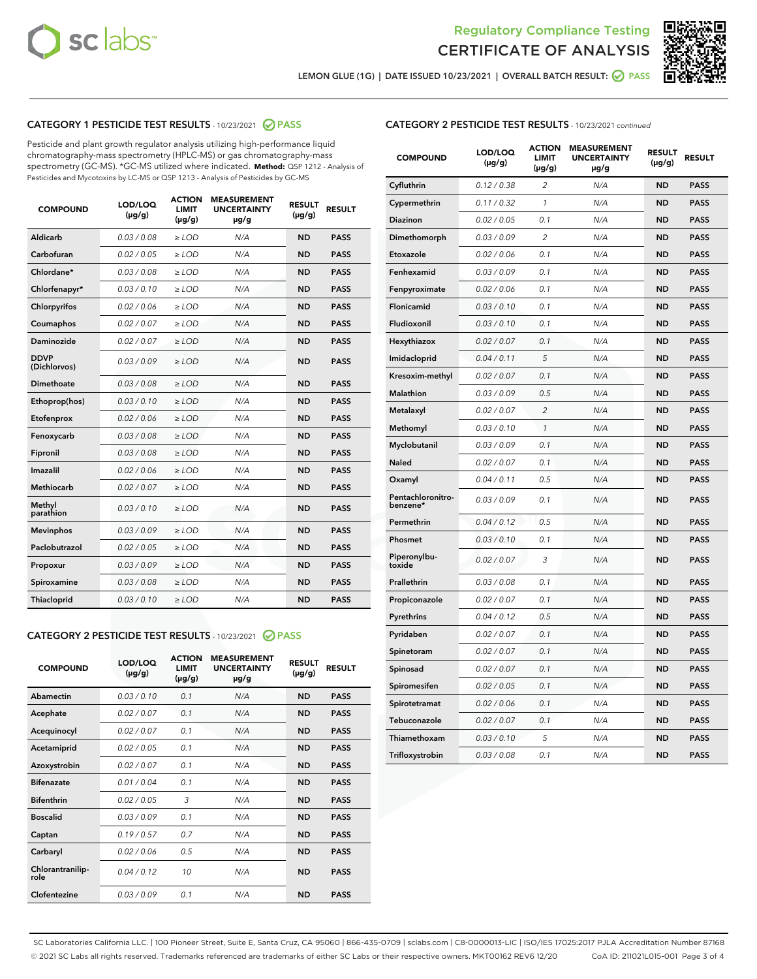



LEMON GLUE (1G) | DATE ISSUED 10/23/2021 | OVERALL BATCH RESULT: 2 PASS

## CATEGORY 1 PESTICIDE TEST RESULTS - 10/23/2021 2 PASS

Pesticide and plant growth regulator analysis utilizing high-performance liquid chromatography-mass spectrometry (HPLC-MS) or gas chromatography-mass spectrometry (GC-MS). \*GC-MS utilized where indicated. **Method:** QSP 1212 - Analysis of Pesticides and Mycotoxins by LC-MS or QSP 1213 - Analysis of Pesticides by GC-MS

| 0.03 / 0.08<br><b>ND</b><br><b>PASS</b><br>Aldicarb<br>$\ge$ LOD<br>N/A<br>Carbofuran<br>0.02 / 0.05<br>$\ge$ LOD<br>N/A<br><b>ND</b><br><b>PASS</b><br>Chlordane*<br>0.03 / 0.08<br>$\ge$ LOD<br>N/A<br><b>ND</b><br><b>PASS</b><br>Chlorfenapyr*<br>0.03/0.10<br>$\ge$ LOD<br>N/A<br><b>ND</b><br><b>PASS</b><br>Chlorpyrifos<br>0.02 / 0.06<br>N/A<br><b>ND</b><br><b>PASS</b><br>$\ge$ LOD<br>Coumaphos<br>0.02 / 0.07<br>N/A<br><b>ND</b><br><b>PASS</b><br>$\ge$ LOD<br>Daminozide<br>0.02 / 0.07<br>N/A<br><b>ND</b><br><b>PASS</b><br>$\ge$ LOD<br><b>DDVP</b><br>0.03/0.09<br>$>$ LOD<br>N/A<br><b>ND</b><br><b>PASS</b><br>(Dichlorvos)<br>Dimethoate<br>0.03 / 0.08<br>$\ge$ LOD<br><b>ND</b><br><b>PASS</b><br>N/A<br>0.03/0.10<br>N/A<br><b>ND</b><br><b>PASS</b><br>Ethoprop(hos)<br>$>$ LOD<br>N/A<br><b>ND</b><br><b>PASS</b><br>Etofenprox<br>0.02 / 0.06<br>$\ge$ LOD<br>Fenoxycarb<br>0.03 / 0.08<br>$\ge$ LOD<br>N/A<br><b>ND</b><br><b>PASS</b><br>0.03/0.08<br>$\ge$ LOD<br>N/A<br><b>ND</b><br><b>PASS</b><br>Fipronil<br>Imazalil<br>0.02 / 0.06<br>$\geq$ LOD<br>N/A<br><b>ND</b><br><b>PASS</b><br><b>Methiocarb</b><br>0.02 / 0.07<br>$\ge$ LOD<br>N/A<br><b>ND</b><br><b>PASS</b><br>Methyl<br>0.03/0.10<br>N/A<br><b>ND</b><br><b>PASS</b><br>$\ge$ LOD<br>parathion<br>0.03/0.09<br><b>Mevinphos</b><br>$\ge$ LOD<br>N/A<br><b>ND</b><br><b>PASS</b><br>Paclobutrazol<br>0.02 / 0.05<br>$>$ LOD<br>N/A<br><b>ND</b><br><b>PASS</b><br>0.03 / 0.09<br>N/A<br>$\ge$ LOD<br><b>ND</b><br><b>PASS</b><br>Propoxur<br>0.03 / 0.08<br><b>ND</b><br><b>PASS</b><br>Spiroxamine<br>$\ge$ LOD<br>N/A<br>Thiacloprid<br>0.03/0.10<br>$\ge$ LOD<br>N/A<br><b>ND</b><br><b>PASS</b> | <b>COMPOUND</b> | LOD/LOQ<br>$(\mu g/g)$ | <b>ACTION</b><br><b>LIMIT</b><br>$(\mu g/g)$ | <b>MEASUREMENT</b><br><b>UNCERTAINTY</b><br>$\mu$ g/g | <b>RESULT</b><br>$(\mu g/g)$ | <b>RESULT</b> |
|-------------------------------------------------------------------------------------------------------------------------------------------------------------------------------------------------------------------------------------------------------------------------------------------------------------------------------------------------------------------------------------------------------------------------------------------------------------------------------------------------------------------------------------------------------------------------------------------------------------------------------------------------------------------------------------------------------------------------------------------------------------------------------------------------------------------------------------------------------------------------------------------------------------------------------------------------------------------------------------------------------------------------------------------------------------------------------------------------------------------------------------------------------------------------------------------------------------------------------------------------------------------------------------------------------------------------------------------------------------------------------------------------------------------------------------------------------------------------------------------------------------------------------------------------------------------------------------------------------------------------------------------------------------------------------------------------------|-----------------|------------------------|----------------------------------------------|-------------------------------------------------------|------------------------------|---------------|
|                                                                                                                                                                                                                                                                                                                                                                                                                                                                                                                                                                                                                                                                                                                                                                                                                                                                                                                                                                                                                                                                                                                                                                                                                                                                                                                                                                                                                                                                                                                                                                                                                                                                                                       |                 |                        |                                              |                                                       |                              |               |
|                                                                                                                                                                                                                                                                                                                                                                                                                                                                                                                                                                                                                                                                                                                                                                                                                                                                                                                                                                                                                                                                                                                                                                                                                                                                                                                                                                                                                                                                                                                                                                                                                                                                                                       |                 |                        |                                              |                                                       |                              |               |
|                                                                                                                                                                                                                                                                                                                                                                                                                                                                                                                                                                                                                                                                                                                                                                                                                                                                                                                                                                                                                                                                                                                                                                                                                                                                                                                                                                                                                                                                                                                                                                                                                                                                                                       |                 |                        |                                              |                                                       |                              |               |
|                                                                                                                                                                                                                                                                                                                                                                                                                                                                                                                                                                                                                                                                                                                                                                                                                                                                                                                                                                                                                                                                                                                                                                                                                                                                                                                                                                                                                                                                                                                                                                                                                                                                                                       |                 |                        |                                              |                                                       |                              |               |
|                                                                                                                                                                                                                                                                                                                                                                                                                                                                                                                                                                                                                                                                                                                                                                                                                                                                                                                                                                                                                                                                                                                                                                                                                                                                                                                                                                                                                                                                                                                                                                                                                                                                                                       |                 |                        |                                              |                                                       |                              |               |
|                                                                                                                                                                                                                                                                                                                                                                                                                                                                                                                                                                                                                                                                                                                                                                                                                                                                                                                                                                                                                                                                                                                                                                                                                                                                                                                                                                                                                                                                                                                                                                                                                                                                                                       |                 |                        |                                              |                                                       |                              |               |
|                                                                                                                                                                                                                                                                                                                                                                                                                                                                                                                                                                                                                                                                                                                                                                                                                                                                                                                                                                                                                                                                                                                                                                                                                                                                                                                                                                                                                                                                                                                                                                                                                                                                                                       |                 |                        |                                              |                                                       |                              |               |
|                                                                                                                                                                                                                                                                                                                                                                                                                                                                                                                                                                                                                                                                                                                                                                                                                                                                                                                                                                                                                                                                                                                                                                                                                                                                                                                                                                                                                                                                                                                                                                                                                                                                                                       |                 |                        |                                              |                                                       |                              |               |
|                                                                                                                                                                                                                                                                                                                                                                                                                                                                                                                                                                                                                                                                                                                                                                                                                                                                                                                                                                                                                                                                                                                                                                                                                                                                                                                                                                                                                                                                                                                                                                                                                                                                                                       |                 |                        |                                              |                                                       |                              |               |
|                                                                                                                                                                                                                                                                                                                                                                                                                                                                                                                                                                                                                                                                                                                                                                                                                                                                                                                                                                                                                                                                                                                                                                                                                                                                                                                                                                                                                                                                                                                                                                                                                                                                                                       |                 |                        |                                              |                                                       |                              |               |
|                                                                                                                                                                                                                                                                                                                                                                                                                                                                                                                                                                                                                                                                                                                                                                                                                                                                                                                                                                                                                                                                                                                                                                                                                                                                                                                                                                                                                                                                                                                                                                                                                                                                                                       |                 |                        |                                              |                                                       |                              |               |
|                                                                                                                                                                                                                                                                                                                                                                                                                                                                                                                                                                                                                                                                                                                                                                                                                                                                                                                                                                                                                                                                                                                                                                                                                                                                                                                                                                                                                                                                                                                                                                                                                                                                                                       |                 |                        |                                              |                                                       |                              |               |
|                                                                                                                                                                                                                                                                                                                                                                                                                                                                                                                                                                                                                                                                                                                                                                                                                                                                                                                                                                                                                                                                                                                                                                                                                                                                                                                                                                                                                                                                                                                                                                                                                                                                                                       |                 |                        |                                              |                                                       |                              |               |
|                                                                                                                                                                                                                                                                                                                                                                                                                                                                                                                                                                                                                                                                                                                                                                                                                                                                                                                                                                                                                                                                                                                                                                                                                                                                                                                                                                                                                                                                                                                                                                                                                                                                                                       |                 |                        |                                              |                                                       |                              |               |
|                                                                                                                                                                                                                                                                                                                                                                                                                                                                                                                                                                                                                                                                                                                                                                                                                                                                                                                                                                                                                                                                                                                                                                                                                                                                                                                                                                                                                                                                                                                                                                                                                                                                                                       |                 |                        |                                              |                                                       |                              |               |
|                                                                                                                                                                                                                                                                                                                                                                                                                                                                                                                                                                                                                                                                                                                                                                                                                                                                                                                                                                                                                                                                                                                                                                                                                                                                                                                                                                                                                                                                                                                                                                                                                                                                                                       |                 |                        |                                              |                                                       |                              |               |
|                                                                                                                                                                                                                                                                                                                                                                                                                                                                                                                                                                                                                                                                                                                                                                                                                                                                                                                                                                                                                                                                                                                                                                                                                                                                                                                                                                                                                                                                                                                                                                                                                                                                                                       |                 |                        |                                              |                                                       |                              |               |
|                                                                                                                                                                                                                                                                                                                                                                                                                                                                                                                                                                                                                                                                                                                                                                                                                                                                                                                                                                                                                                                                                                                                                                                                                                                                                                                                                                                                                                                                                                                                                                                                                                                                                                       |                 |                        |                                              |                                                       |                              |               |
|                                                                                                                                                                                                                                                                                                                                                                                                                                                                                                                                                                                                                                                                                                                                                                                                                                                                                                                                                                                                                                                                                                                                                                                                                                                                                                                                                                                                                                                                                                                                                                                                                                                                                                       |                 |                        |                                              |                                                       |                              |               |
|                                                                                                                                                                                                                                                                                                                                                                                                                                                                                                                                                                                                                                                                                                                                                                                                                                                                                                                                                                                                                                                                                                                                                                                                                                                                                                                                                                                                                                                                                                                                                                                                                                                                                                       |                 |                        |                                              |                                                       |                              |               |
|                                                                                                                                                                                                                                                                                                                                                                                                                                                                                                                                                                                                                                                                                                                                                                                                                                                                                                                                                                                                                                                                                                                                                                                                                                                                                                                                                                                                                                                                                                                                                                                                                                                                                                       |                 |                        |                                              |                                                       |                              |               |

#### CATEGORY 2 PESTICIDE TEST RESULTS - 10/23/2021 @ PASS

| <b>COMPOUND</b>          | LOD/LOO<br>$(\mu g/g)$ | <b>ACTION</b><br>LIMIT<br>$(\mu g/g)$ | <b>MEASUREMENT</b><br><b>UNCERTAINTY</b><br>µg/g | <b>RESULT</b><br>$(\mu g/g)$ | <b>RESULT</b> |  |
|--------------------------|------------------------|---------------------------------------|--------------------------------------------------|------------------------------|---------------|--|
| Abamectin                | 0.03/0.10              | 0.1                                   | N/A                                              | <b>ND</b>                    | <b>PASS</b>   |  |
| Acephate                 | 0.02/0.07              | 0.1                                   | N/A                                              | <b>ND</b>                    | <b>PASS</b>   |  |
| Acequinocyl              | 0.02/0.07              | 0.1                                   | N/A                                              | <b>ND</b>                    | <b>PASS</b>   |  |
| Acetamiprid              | 0.02/0.05              | 0.1                                   | N/A                                              | <b>ND</b>                    | <b>PASS</b>   |  |
| Azoxystrobin             | 0.02/0.07              | 0.1                                   | N/A                                              | <b>ND</b>                    | <b>PASS</b>   |  |
| <b>Bifenazate</b>        | 0.01 / 0.04            | 0.1                                   | N/A                                              | <b>ND</b>                    | <b>PASS</b>   |  |
| <b>Bifenthrin</b>        | 0.02/0.05              | 3                                     | N/A                                              | <b>ND</b>                    | <b>PASS</b>   |  |
| <b>Boscalid</b>          | 0.03/0.09              | 0.1                                   | N/A                                              | <b>ND</b>                    | <b>PASS</b>   |  |
| Captan                   | 0.19/0.57              | 0.7                                   | N/A                                              | <b>ND</b>                    | <b>PASS</b>   |  |
| Carbaryl                 | 0.02/0.06              | 0.5                                   | N/A                                              | <b>ND</b>                    | <b>PASS</b>   |  |
| Chlorantranilip-<br>role | 0.04/0.12              | 10                                    | N/A                                              | <b>ND</b>                    | <b>PASS</b>   |  |
| Clofentezine             | 0.03/0.09              | 0.1                                   | N/A                                              | <b>ND</b>                    | <b>PASS</b>   |  |

#### CATEGORY 2 PESTICIDE TEST RESULTS - 10/23/2021 continued

| <b>COMPOUND</b>               | LOD/LOQ<br>(µg/g) | <b>ACTION</b><br><b>LIMIT</b><br>$(\mu g/g)$ | <b>MEASUREMENT</b><br><b>UNCERTAINTY</b><br>µg/g | <b>RESULT</b><br>$(\mu g/g)$ | <b>RESULT</b> |
|-------------------------------|-------------------|----------------------------------------------|--------------------------------------------------|------------------------------|---------------|
| Cyfluthrin                    | 0.12 / 0.38       | $\overline{\mathcal{L}}$                     | N/A                                              | <b>ND</b>                    | <b>PASS</b>   |
| Cypermethrin                  | 0.11 / 0.32       | 1                                            | N/A                                              | <b>ND</b>                    | <b>PASS</b>   |
| <b>Diazinon</b>               | 0.02 / 0.05       | 0.1                                          | N/A                                              | <b>ND</b>                    | <b>PASS</b>   |
| Dimethomorph                  | 0.03 / 0.09       | 2                                            | N/A                                              | <b>ND</b>                    | <b>PASS</b>   |
| Etoxazole                     | 0.02 / 0.06       | 0.1                                          | N/A                                              | <b>ND</b>                    | <b>PASS</b>   |
| Fenhexamid                    | 0.03 / 0.09       | 0.1                                          | N/A                                              | <b>ND</b>                    | <b>PASS</b>   |
| Fenpyroximate                 | 0.02 / 0.06       | 0.1                                          | N/A                                              | <b>ND</b>                    | <b>PASS</b>   |
| Flonicamid                    | 0.03 / 0.10       | 0.1                                          | N/A                                              | <b>ND</b>                    | <b>PASS</b>   |
| Fludioxonil                   | 0.03 / 0.10       | 0.1                                          | N/A                                              | <b>ND</b>                    | <b>PASS</b>   |
| Hexythiazox                   | 0.02 / 0.07       | 0.1                                          | N/A                                              | <b>ND</b>                    | <b>PASS</b>   |
| Imidacloprid                  | 0.04 / 0.11       | 5                                            | N/A                                              | <b>ND</b>                    | <b>PASS</b>   |
| Kresoxim-methyl               | 0.02 / 0.07       | 0.1                                          | N/A                                              | <b>ND</b>                    | <b>PASS</b>   |
| Malathion                     | 0.03 / 0.09       | 0.5                                          | N/A                                              | <b>ND</b>                    | <b>PASS</b>   |
| Metalaxyl                     | 0.02 / 0.07       | $\overline{c}$                               | N/A                                              | <b>ND</b>                    | <b>PASS</b>   |
| Methomyl                      | 0.03 / 0.10       | $\mathcal{I}$                                | N/A                                              | <b>ND</b>                    | <b>PASS</b>   |
| Myclobutanil                  | 0.03 / 0.09       | 0.1                                          | N/A                                              | <b>ND</b>                    | <b>PASS</b>   |
| Naled                         | 0.02 / 0.07       | 0.1                                          | N/A                                              | <b>ND</b>                    | <b>PASS</b>   |
| Oxamyl                        | 0.04 / 0.11       | 0.5                                          | N/A                                              | <b>ND</b>                    | <b>PASS</b>   |
| Pentachloronitro-<br>benzene* | 0.03 / 0.09       | 0.1                                          | N/A                                              | <b>ND</b>                    | <b>PASS</b>   |
| Permethrin                    | 0.04 / 0.12       | 0.5                                          | N/A                                              | <b>ND</b>                    | <b>PASS</b>   |
| Phosmet                       | 0.03 / 0.10       | 0.1                                          | N/A                                              | <b>ND</b>                    | <b>PASS</b>   |
| Piperonylbu-<br>toxide        | 0.02 / 0.07       | 3                                            | N/A                                              | <b>ND</b>                    | <b>PASS</b>   |
| Prallethrin                   | 0.03 / 0.08       | 0.1                                          | N/A                                              | <b>ND</b>                    | <b>PASS</b>   |
| Propiconazole                 | 0.02 / 0.07       | 0.1                                          | N/A                                              | <b>ND</b>                    | <b>PASS</b>   |
| Pyrethrins                    | 0.04 / 0.12       | 0.5                                          | N/A                                              | <b>ND</b>                    | <b>PASS</b>   |
| Pyridaben                     | 0.02 / 0.07       | 0.1                                          | N/A                                              | <b>ND</b>                    | <b>PASS</b>   |
| Spinetoram                    | 0.02 / 0.07       | 0.1                                          | N/A                                              | <b>ND</b>                    | <b>PASS</b>   |
| Spinosad                      | 0.02 / 0.07       | 0.1                                          | N/A                                              | <b>ND</b>                    | <b>PASS</b>   |
| Spiromesifen                  | 0.02 / 0.05       | 0.1                                          | N/A                                              | <b>ND</b>                    | <b>PASS</b>   |
| Spirotetramat                 | 0.02 / 0.06       | 0.1                                          | N/A                                              | <b>ND</b>                    | <b>PASS</b>   |
| Tebuconazole                  | 0.02 / 0.07       | 0.1                                          | N/A                                              | <b>ND</b>                    | <b>PASS</b>   |
| Thiamethoxam                  | 0.03 / 0.10       | 5                                            | N/A                                              | <b>ND</b>                    | <b>PASS</b>   |
| Trifloxystrobin               | 0.03 / 0.08       | 0.1                                          | N/A                                              | <b>ND</b>                    | <b>PASS</b>   |

SC Laboratories California LLC. | 100 Pioneer Street, Suite E, Santa Cruz, CA 95060 | 866-435-0709 | sclabs.com | C8-0000013-LIC | ISO/IES 17025:2017 PJLA Accreditation Number 87168 © 2021 SC Labs all rights reserved. Trademarks referenced are trademarks of either SC Labs or their respective owners. MKT00162 REV6 12/20 CoA ID: 211021L015-001 Page 3 of 4